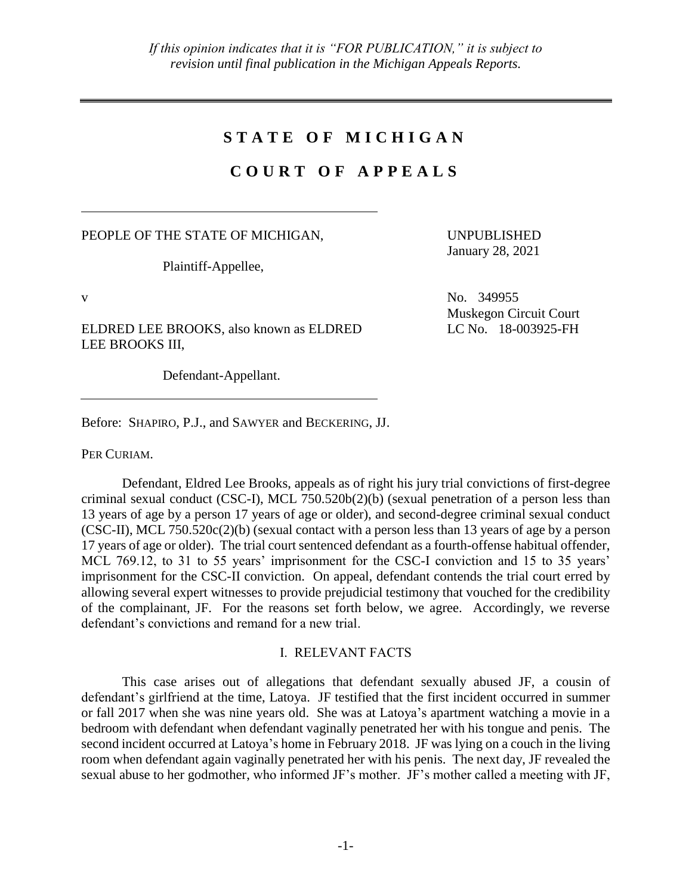# **S T A T E O F M I C H I G A N**

# **C O U R T O F A P P E A L S**

## PEOPLE OF THE STATE OF MICHIGAN,

Plaintiff-Appellee,

ELDRED LEE BROOKS, also known as ELDRED LEE BROOKS III,

Defendant-Appellant.

Before: SHAPIRO, P.J., and SAWYER and BECKERING, JJ.

PER CURIAM.

Defendant, Eldred Lee Brooks, appeals as of right his jury trial convictions of first-degree criminal sexual conduct (CSC-I), MCL 750.520b(2)(b) (sexual penetration of a person less than 13 years of age by a person 17 years of age or older), and second-degree criminal sexual conduct (CSC-II), MCL 750.520c(2)(b) (sexual contact with a person less than 13 years of age by a person 17 years of age or older). The trial court sentenced defendant as a fourth-offense habitual offender, MCL 769.12, to 31 to 55 years' imprisonment for the CSC-I conviction and 15 to 35 years' imprisonment for the CSC-II conviction. On appeal, defendant contends the trial court erred by allowing several expert witnesses to provide prejudicial testimony that vouched for the credibility of the complainant, JF. For the reasons set forth below, we agree. Accordingly, we reverse defendant's convictions and remand for a new trial.

## I. RELEVANT FACTS

This case arises out of allegations that defendant sexually abused JF, a cousin of defendant's girlfriend at the time, Latoya. JF testified that the first incident occurred in summer or fall 2017 when she was nine years old. She was at Latoya's apartment watching a movie in a bedroom with defendant when defendant vaginally penetrated her with his tongue and penis. The second incident occurred at Latoya's home in February 2018. JF was lying on a couch in the living room when defendant again vaginally penetrated her with his penis. The next day, JF revealed the sexual abuse to her godmother, who informed JF's mother. JF's mother called a meeting with JF,

v No. 349955 Muskegon Circuit Court LC No. 18-003925-FH

UNPUBLISHED January 28, 2021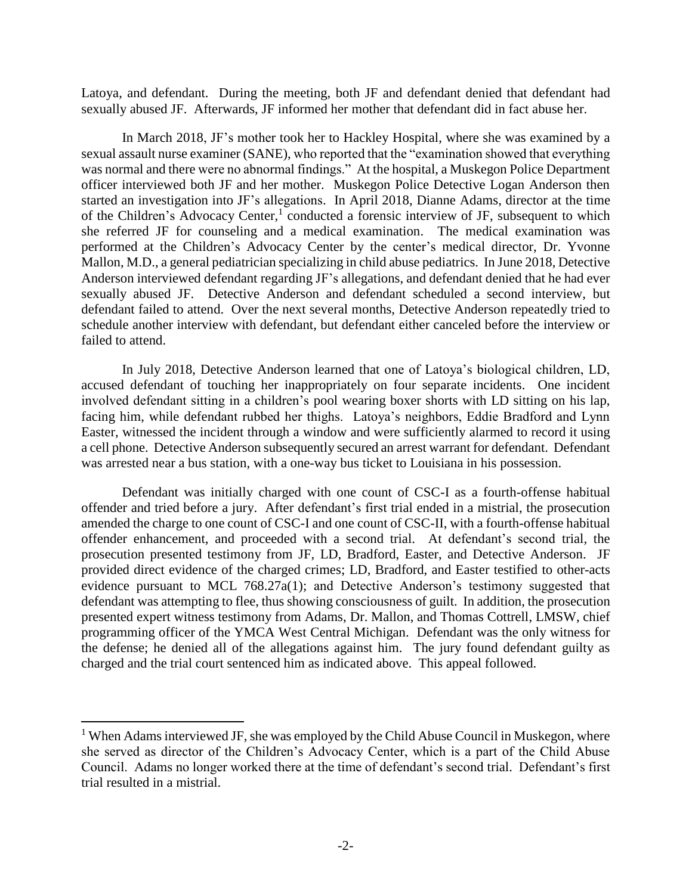Latoya, and defendant. During the meeting, both JF and defendant denied that defendant had sexually abused JF. Afterwards, JF informed her mother that defendant did in fact abuse her.

In March 2018, JF's mother took her to Hackley Hospital, where she was examined by a sexual assault nurse examiner (SANE), who reported that the "examination showed that everything was normal and there were no abnormal findings." At the hospital, a Muskegon Police Department officer interviewed both JF and her mother. Muskegon Police Detective Logan Anderson then started an investigation into JF's allegations. In April 2018, Dianne Adams, director at the time of the Children's Advocacy Center,<sup>1</sup> conducted a forensic interview of JF, subsequent to which she referred JF for counseling and a medical examination. The medical examination was performed at the Children's Advocacy Center by the center's medical director, Dr. Yvonne Mallon, M.D., a general pediatrician specializing in child abuse pediatrics. In June 2018, Detective Anderson interviewed defendant regarding JF's allegations, and defendant denied that he had ever sexually abused JF. Detective Anderson and defendant scheduled a second interview, but defendant failed to attend. Over the next several months, Detective Anderson repeatedly tried to schedule another interview with defendant, but defendant either canceled before the interview or failed to attend.

In July 2018, Detective Anderson learned that one of Latoya's biological children, LD, accused defendant of touching her inappropriately on four separate incidents. One incident involved defendant sitting in a children's pool wearing boxer shorts with LD sitting on his lap, facing him, while defendant rubbed her thighs. Latoya's neighbors, Eddie Bradford and Lynn Easter, witnessed the incident through a window and were sufficiently alarmed to record it using a cell phone. Detective Anderson subsequently secured an arrest warrant for defendant. Defendant was arrested near a bus station, with a one-way bus ticket to Louisiana in his possession.

Defendant was initially charged with one count of CSC-I as a fourth-offense habitual offender and tried before a jury. After defendant's first trial ended in a mistrial, the prosecution amended the charge to one count of CSC-I and one count of CSC-II, with a fourth-offense habitual offender enhancement, and proceeded with a second trial. At defendant's second trial, the prosecution presented testimony from JF, LD, Bradford, Easter, and Detective Anderson. JF provided direct evidence of the charged crimes; LD, Bradford, and Easter testified to other-acts evidence pursuant to MCL 768.27a(1); and Detective Anderson's testimony suggested that defendant was attempting to flee, thus showing consciousness of guilt. In addition, the prosecution presented expert witness testimony from Adams, Dr. Mallon, and Thomas Cottrell, LMSW, chief programming officer of the YMCA West Central Michigan. Defendant was the only witness for the defense; he denied all of the allegations against him. The jury found defendant guilty as charged and the trial court sentenced him as indicated above. This appeal followed.

<sup>&</sup>lt;sup>1</sup> When Adams interviewed JF, she was employed by the Child Abuse Council in Muskegon, where she served as director of the Children's Advocacy Center, which is a part of the Child Abuse Council. Adams no longer worked there at the time of defendant's second trial. Defendant's first trial resulted in a mistrial.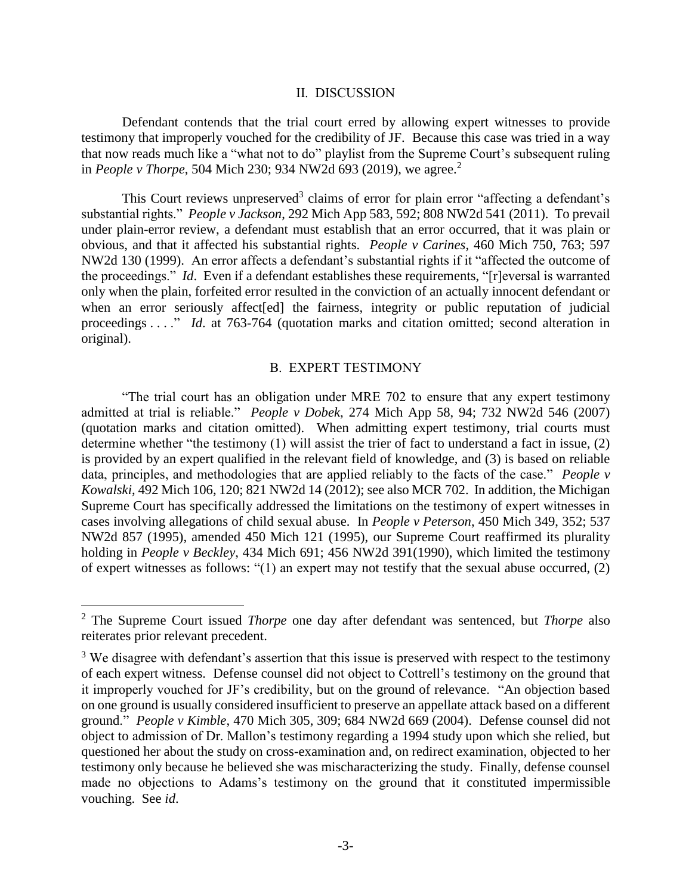#### II. DISCUSSION

Defendant contends that the trial court erred by allowing expert witnesses to provide testimony that improperly vouched for the credibility of JF. Because this case was tried in a way that now reads much like a "what not to do" playlist from the Supreme Court's subsequent ruling in *People v Thorpe*, 504 Mich 230; 934 NW2d 693 (2019), we agree.<sup>2</sup>

This Court reviews unpreserved<sup>3</sup> claims of error for plain error "affecting a defendant's substantial rights." *People v Jackson*, 292 Mich App 583, 592; 808 NW2d 541 (2011). To prevail under plain-error review, a defendant must establish that an error occurred, that it was plain or obvious, and that it affected his substantial rights. *People v Carines*, 460 Mich 750, 763; 597 NW2d 130 (1999). An error affects a defendant's substantial rights if it "affected the outcome of the proceedings." *Id*. Even if a defendant establishes these requirements, "[r]eversal is warranted only when the plain, forfeited error resulted in the conviction of an actually innocent defendant or when an error seriously affect [ed] the fairness, integrity or public reputation of judicial proceedings . . . ." *Id*. at 763-764 (quotation marks and citation omitted; second alteration in original).

#### B. EXPERT TESTIMONY

"The trial court has an obligation under MRE 702 to ensure that any expert testimony admitted at trial is reliable." *People v Dobek*, 274 Mich App 58, 94; 732 NW2d 546 (2007) (quotation marks and citation omitted). When admitting expert testimony, trial courts must determine whether "the testimony (1) will assist the trier of fact to understand a fact in issue, (2) is provided by an expert qualified in the relevant field of knowledge, and (3) is based on reliable data, principles, and methodologies that are applied reliably to the facts of the case." *People v Kowalski*, 492 Mich 106, 120; 821 NW2d 14 (2012); see also MCR 702. In addition, the Michigan Supreme Court has specifically addressed the limitations on the testimony of expert witnesses in cases involving allegations of child sexual abuse. In *People v Peterson*, 450 Mich 349, 352; 537 NW2d 857 (1995), amended 450 Mich 121 (1995), our Supreme Court reaffirmed its plurality holding in *People v Beckley*, 434 Mich 691; 456 NW2d 391(1990), which limited the testimony of expert witnesses as follows: "(1) an expert may not testify that the sexual abuse occurred, (2)

<sup>2</sup> The Supreme Court issued *Thorpe* one day after defendant was sentenced, but *Thorpe* also reiterates prior relevant precedent.

<sup>&</sup>lt;sup>3</sup> We disagree with defendant's assertion that this issue is preserved with respect to the testimony of each expert witness. Defense counsel did not object to Cottrell's testimony on the ground that it improperly vouched for JF's credibility, but on the ground of relevance. "An objection based on one ground is usually considered insufficient to preserve an appellate attack based on a different ground." *People v Kimble*, 470 Mich 305, 309; 684 NW2d 669 (2004). Defense counsel did not object to admission of Dr. Mallon's testimony regarding a 1994 study upon which she relied, but questioned her about the study on cross-examination and, on redirect examination, objected to her testimony only because he believed she was mischaracterizing the study. Finally, defense counsel made no objections to Adams's testimony on the ground that it constituted impermissible vouching. See *id*.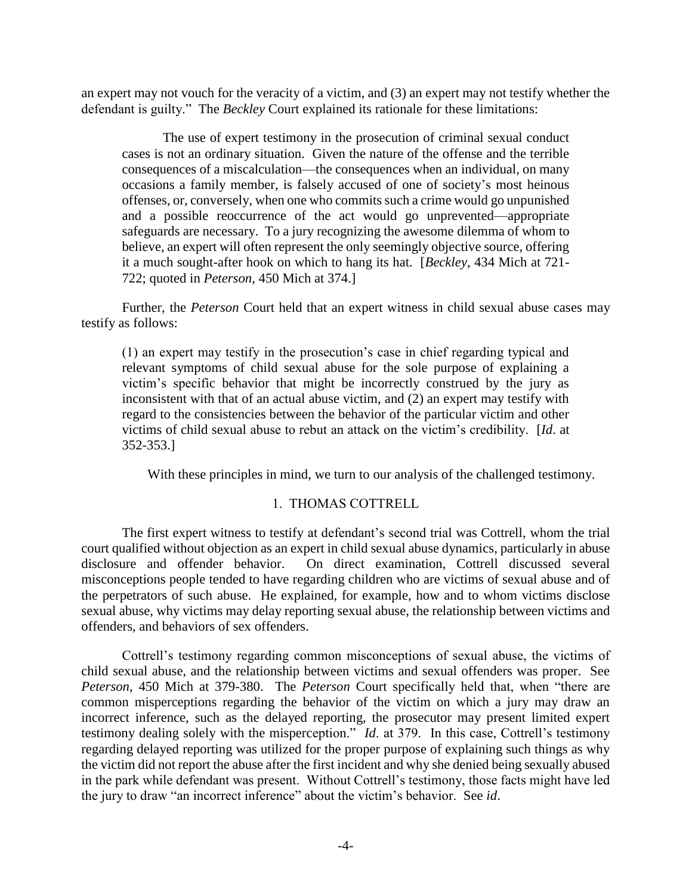an expert may not vouch for the veracity of a victim, and (3) an expert may not testify whether the defendant is guilty." The *Beckley* Court explained its rationale for these limitations:

The use of expert testimony in the prosecution of criminal sexual conduct cases is not an ordinary situation. Given the nature of the offense and the terrible consequences of a miscalculation—the consequences when an individual, on many occasions a family member, is falsely accused of one of society's most heinous offenses, or, conversely, when one who commits such a crime would go unpunished and a possible reoccurrence of the act would go unprevented—appropriate safeguards are necessary. To a jury recognizing the awesome dilemma of whom to believe, an expert will often represent the only seemingly objective source, offering it a much sought-after hook on which to hang its hat. [*Beckley*, 434 Mich at 721- 722; quoted in *Peterson*, 450 Mich at 374.]

Further, the *Peterson* Court held that an expert witness in child sexual abuse cases may testify as follows:

(1) an expert may testify in the prosecution's case in chief regarding typical and relevant symptoms of child sexual abuse for the sole purpose of explaining a victim's specific behavior that might be incorrectly construed by the jury as inconsistent with that of an actual abuse victim, and (2) an expert may testify with regard to the consistencies between the behavior of the particular victim and other victims of child sexual abuse to rebut an attack on the victim's credibility. [*Id*. at 352-353.]

With these principles in mind, we turn to our analysis of the challenged testimony.

### 1. THOMAS COTTRELL

The first expert witness to testify at defendant's second trial was Cottrell, whom the trial court qualified without objection as an expert in child sexual abuse dynamics, particularly in abuse disclosure and offender behavior. On direct examination, Cottrell discussed several misconceptions people tended to have regarding children who are victims of sexual abuse and of the perpetrators of such abuse. He explained, for example, how and to whom victims disclose sexual abuse, why victims may delay reporting sexual abuse, the relationship between victims and offenders, and behaviors of sex offenders.

Cottrell's testimony regarding common misconceptions of sexual abuse, the victims of child sexual abuse, and the relationship between victims and sexual offenders was proper. See *Peterson*, 450 Mich at 379-380. The *Peterson* Court specifically held that, when "there are common misperceptions regarding the behavior of the victim on which a jury may draw an incorrect inference, such as the delayed reporting, the prosecutor may present limited expert testimony dealing solely with the misperception." *Id*. at 379. In this case, Cottrell's testimony regarding delayed reporting was utilized for the proper purpose of explaining such things as why the victim did not report the abuse after the first incident and why she denied being sexually abused in the park while defendant was present. Without Cottrell's testimony, those facts might have led the jury to draw "an incorrect inference" about the victim's behavior. See *id*.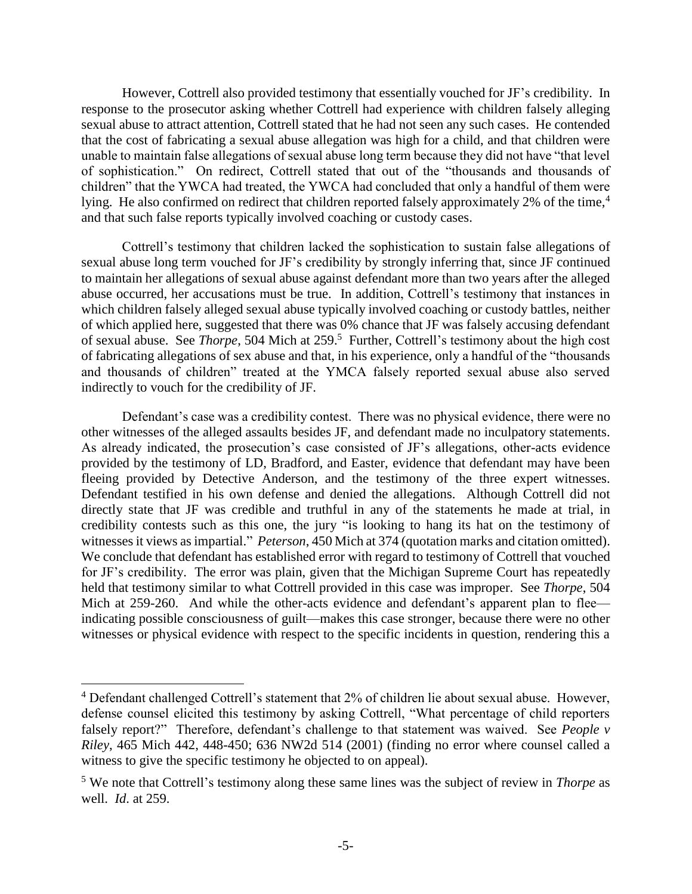However, Cottrell also provided testimony that essentially vouched for JF's credibility. In response to the prosecutor asking whether Cottrell had experience with children falsely alleging sexual abuse to attract attention, Cottrell stated that he had not seen any such cases. He contended that the cost of fabricating a sexual abuse allegation was high for a child, and that children were unable to maintain false allegations of sexual abuse long term because they did not have "that level of sophistication." On redirect, Cottrell stated that out of the "thousands and thousands of children" that the YWCA had treated, the YWCA had concluded that only a handful of them were lying. He also confirmed on redirect that children reported falsely approximately 2% of the time,<sup>4</sup> and that such false reports typically involved coaching or custody cases.

Cottrell's testimony that children lacked the sophistication to sustain false allegations of sexual abuse long term vouched for JF's credibility by strongly inferring that, since JF continued to maintain her allegations of sexual abuse against defendant more than two years after the alleged abuse occurred, her accusations must be true. In addition, Cottrell's testimony that instances in which children falsely alleged sexual abuse typically involved coaching or custody battles, neither of which applied here, suggested that there was 0% chance that JF was falsely accusing defendant of sexual abuse. See *Thorpe*, 504 Mich at 259. 5 Further, Cottrell's testimony about the high cost of fabricating allegations of sex abuse and that, in his experience, only a handful of the "thousands and thousands of children" treated at the YMCA falsely reported sexual abuse also served indirectly to vouch for the credibility of JF.

Defendant's case was a credibility contest. There was no physical evidence, there were no other witnesses of the alleged assaults besides JF, and defendant made no inculpatory statements. As already indicated, the prosecution's case consisted of JF's allegations, other-acts evidence provided by the testimony of LD, Bradford, and Easter, evidence that defendant may have been fleeing provided by Detective Anderson, and the testimony of the three expert witnesses. Defendant testified in his own defense and denied the allegations. Although Cottrell did not directly state that JF was credible and truthful in any of the statements he made at trial, in credibility contests such as this one, the jury "is looking to hang its hat on the testimony of witnesses it views as impartial." *Peterson*, 450 Mich at 374 (quotation marks and citation omitted). We conclude that defendant has established error with regard to testimony of Cottrell that vouched for JF's credibility. The error was plain, given that the Michigan Supreme Court has repeatedly held that testimony similar to what Cottrell provided in this case was improper. See *Thorpe*, 504 Mich at 259-260. And while the other-acts evidence and defendant's apparent plan to flee indicating possible consciousness of guilt—makes this case stronger, because there were no other witnesses or physical evidence with respect to the specific incidents in question, rendering this a

<sup>4</sup> Defendant challenged Cottrell's statement that 2% of children lie about sexual abuse. However, defense counsel elicited this testimony by asking Cottrell, "What percentage of child reporters falsely report?" Therefore, defendant's challenge to that statement was waived. See *People v Riley*, 465 Mich 442, 448-450; 636 NW2d 514 (2001) (finding no error where counsel called a witness to give the specific testimony he objected to on appeal).

<sup>5</sup> We note that Cottrell's testimony along these same lines was the subject of review in *Thorpe* as well. *Id*. at 259.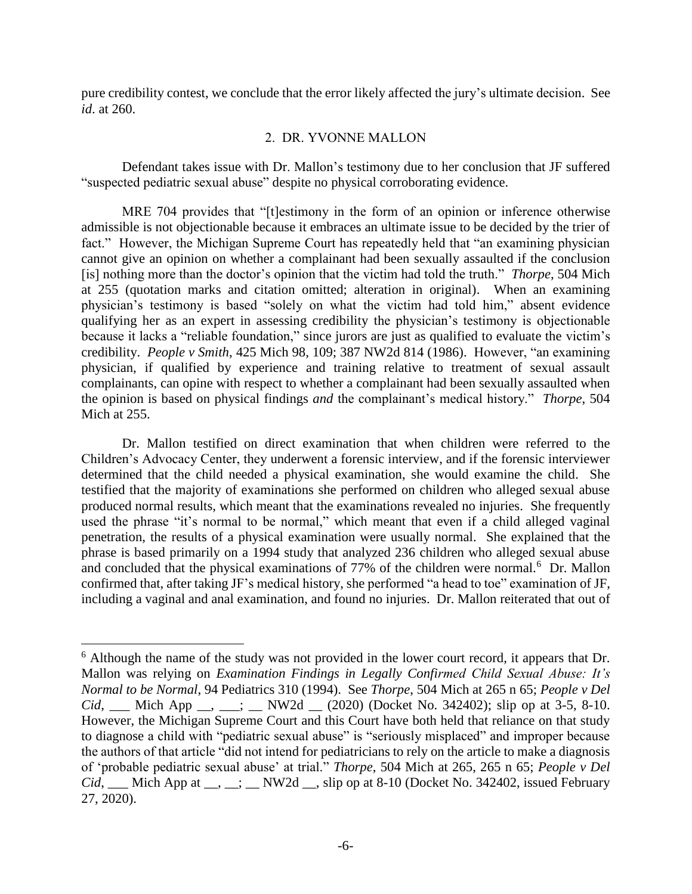pure credibility contest, we conclude that the error likely affected the jury's ultimate decision. See *id*. at 260.

### 2. DR. YVONNE MALLON

Defendant takes issue with Dr. Mallon's testimony due to her conclusion that JF suffered "suspected pediatric sexual abuse" despite no physical corroborating evidence.

MRE 704 provides that "[t]estimony in the form of an opinion or inference otherwise admissible is not objectionable because it embraces an ultimate issue to be decided by the trier of fact." However, the Michigan Supreme Court has repeatedly held that "an examining physician cannot give an opinion on whether a complainant had been sexually assaulted if the conclusion [is] nothing more than the doctor's opinion that the victim had told the truth." *Thorpe*, 504 Mich at 255 (quotation marks and citation omitted; alteration in original). When an examining physician's testimony is based "solely on what the victim had told him," absent evidence qualifying her as an expert in assessing credibility the physician's testimony is objectionable because it lacks a "reliable foundation," since jurors are just as qualified to evaluate the victim's credibility. *People v Smith*, 425 Mich 98, 109; 387 NW2d 814 (1986). However, "an examining physician, if qualified by experience and training relative to treatment of sexual assault complainants, can opine with respect to whether a complainant had been sexually assaulted when the opinion is based on physical findings *and* the complainant's medical history." *Thorpe*, 504 Mich at 255.

Dr. Mallon testified on direct examination that when children were referred to the Children's Advocacy Center, they underwent a forensic interview, and if the forensic interviewer determined that the child needed a physical examination, she would examine the child. She testified that the majority of examinations she performed on children who alleged sexual abuse produced normal results, which meant that the examinations revealed no injuries. She frequently used the phrase "it's normal to be normal," which meant that even if a child alleged vaginal penetration, the results of a physical examination were usually normal. She explained that the phrase is based primarily on a 1994 study that analyzed 236 children who alleged sexual abuse and concluded that the physical examinations of  $77\%$  of the children were normal.<sup>6</sup> Dr. Mallon confirmed that, after taking JF's medical history, she performed "a head to toe" examination of JF, including a vaginal and anal examination, and found no injuries. Dr. Mallon reiterated that out of

 $6$  Although the name of the study was not provided in the lower court record, it appears that Dr. Mallon was relying on *Examination Findings in Legally Confirmed Child Sexual Abuse: It's Normal to be Normal*, 94 Pediatrics 310 (1994). See *Thorpe*, 504 Mich at 265 n 65; *People v Del Cid*, \_\_\_ Mich App \_\_, \_\_; \_\_ NW2d \_\_ (2020) (Docket No. 342402); slip op at  $3-5$ , 8-10. However, the Michigan Supreme Court and this Court have both held that reliance on that study to diagnose a child with "pediatric sexual abuse" is "seriously misplaced" and improper because the authors of that article "did not intend for pediatricians to rely on the article to make a diagnosis of 'probable pediatric sexual abuse' at trial." *Thorpe*, 504 Mich at 265, 265 n 65; *People v Del Cid*, \_\_\_ Mich App at \_\_, \_\_; \_\_ NW2d \_\_, slip op at 8-10 (Docket No. 342402, issued February 27, 2020).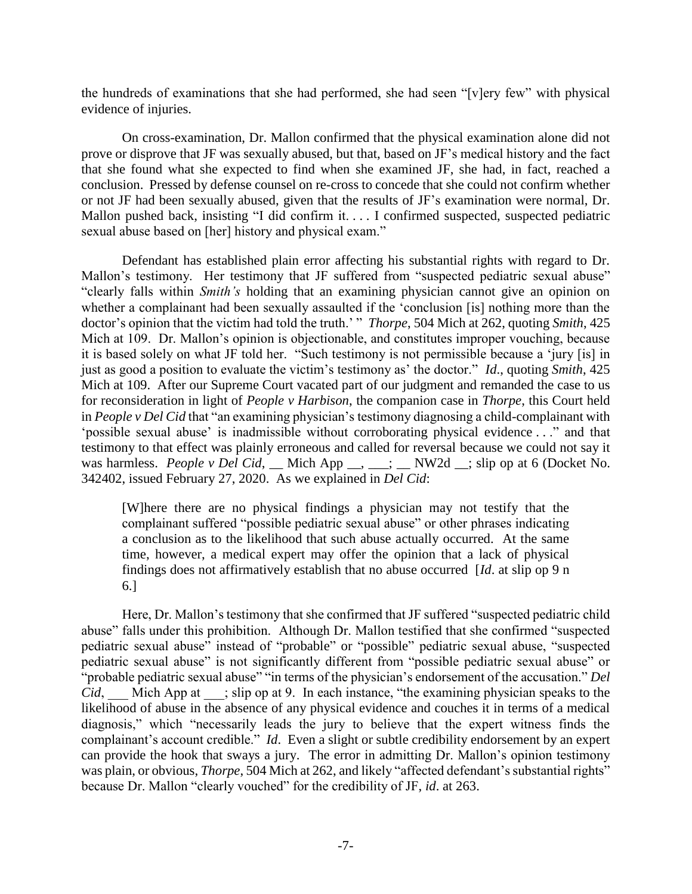the hundreds of examinations that she had performed, she had seen "[v]ery few" with physical evidence of injuries.

On cross-examination, Dr. Mallon confirmed that the physical examination alone did not prove or disprove that JF was sexually abused, but that, based on JF's medical history and the fact that she found what she expected to find when she examined JF, she had, in fact, reached a conclusion. Pressed by defense counsel on re-cross to concede that she could not confirm whether or not JF had been sexually abused, given that the results of JF's examination were normal, Dr. Mallon pushed back, insisting "I did confirm it. . . . I confirmed suspected, suspected pediatric sexual abuse based on [her] history and physical exam."

Defendant has established plain error affecting his substantial rights with regard to Dr. Mallon's testimony. Her testimony that JF suffered from "suspected pediatric sexual abuse" "clearly falls within *Smith's* holding that an examining physician cannot give an opinion on whether a complainant had been sexually assaulted if the 'conclusion [is] nothing more than the doctor's opinion that the victim had told the truth.' " *Thorpe*, 504 Mich at 262, quoting *Smith*, 425 Mich at 109. Dr. Mallon's opinion is objectionable, and constitutes improper vouching, because it is based solely on what JF told her. "Such testimony is not permissible because a 'jury [is] in just as good a position to evaluate the victim's testimony as' the doctor." *Id*., quoting *Smith*, 425 Mich at 109. After our Supreme Court vacated part of our judgment and remanded the case to us for reconsideration in light of *People v Harbison*, the companion case in *Thorpe*, this Court held in *People v Del Cid* that "an examining physician's testimony diagnosing a child-complainant with 'possible sexual abuse' is inadmissible without corroborating physical evidence . . ." and that testimony to that effect was plainly erroneous and called for reversal because we could not say it was harmless. *People v Del Cid*, Mich App \_\_, \_\_; \_\_ NW2d \_\_; slip op at 6 (Docket No. 342402, issued February 27, 2020. As we explained in *Del Cid*:

[W]here there are no physical findings a physician may not testify that the complainant suffered "possible pediatric sexual abuse" or other phrases indicating a conclusion as to the likelihood that such abuse actually occurred. At the same time, however, a medical expert may offer the opinion that a lack of physical findings does not affirmatively establish that no abuse occurred [*Id*. at slip op 9 n 6.]

Here, Dr. Mallon's testimony that she confirmed that JF suffered "suspected pediatric child abuse" falls under this prohibition. Although Dr. Mallon testified that she confirmed "suspected pediatric sexual abuse" instead of "probable" or "possible" pediatric sexual abuse, "suspected pediatric sexual abuse" is not significantly different from "possible pediatric sexual abuse" or "probable pediatric sexual abuse" "in terms of the physician's endorsement of the accusation." *Del Cid*, Mich App at ; slip op at 9. In each instance, "the examining physician speaks to the likelihood of abuse in the absence of any physical evidence and couches it in terms of a medical diagnosis," which "necessarily leads the jury to believe that the expert witness finds the complainant's account credible." *Id*. Even a slight or subtle credibility endorsement by an expert can provide the hook that sways a jury. The error in admitting Dr. Mallon's opinion testimony was plain, or obvious, *Thorpe*, 504 Mich at 262, and likely "affected defendant's substantial rights" because Dr. Mallon "clearly vouched" for the credibility of JF, *id*. at 263.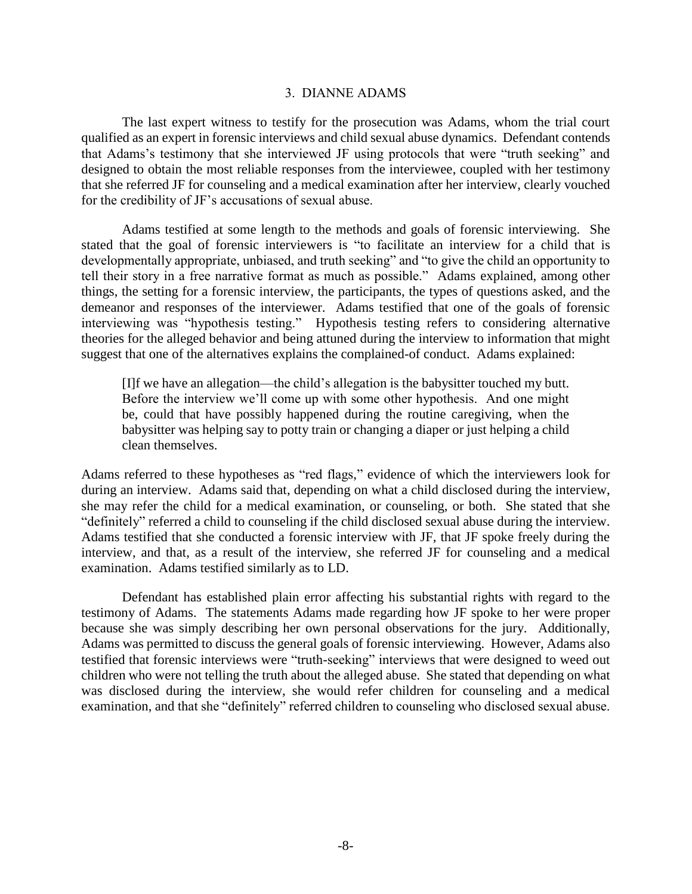#### 3. DIANNE ADAMS

The last expert witness to testify for the prosecution was Adams, whom the trial court qualified as an expert in forensic interviews and child sexual abuse dynamics. Defendant contends that Adams's testimony that she interviewed JF using protocols that were "truth seeking" and designed to obtain the most reliable responses from the interviewee, coupled with her testimony that she referred JF for counseling and a medical examination after her interview, clearly vouched for the credibility of JF's accusations of sexual abuse.

Adams testified at some length to the methods and goals of forensic interviewing. She stated that the goal of forensic interviewers is "to facilitate an interview for a child that is developmentally appropriate, unbiased, and truth seeking" and "to give the child an opportunity to tell their story in a free narrative format as much as possible." Adams explained, among other things, the setting for a forensic interview, the participants, the types of questions asked, and the demeanor and responses of the interviewer. Adams testified that one of the goals of forensic interviewing was "hypothesis testing." Hypothesis testing refers to considering alternative theories for the alleged behavior and being attuned during the interview to information that might suggest that one of the alternatives explains the complained-of conduct. Adams explained:

[I]f we have an allegation—the child's allegation is the babysitter touched my butt. Before the interview we'll come up with some other hypothesis. And one might be, could that have possibly happened during the routine caregiving, when the babysitter was helping say to potty train or changing a diaper or just helping a child clean themselves.

Adams referred to these hypotheses as "red flags," evidence of which the interviewers look for during an interview. Adams said that, depending on what a child disclosed during the interview, she may refer the child for a medical examination, or counseling, or both. She stated that she "definitely" referred a child to counseling if the child disclosed sexual abuse during the interview. Adams testified that she conducted a forensic interview with JF, that JF spoke freely during the interview, and that, as a result of the interview, she referred JF for counseling and a medical examination. Adams testified similarly as to LD.

Defendant has established plain error affecting his substantial rights with regard to the testimony of Adams. The statements Adams made regarding how JF spoke to her were proper because she was simply describing her own personal observations for the jury. Additionally, Adams was permitted to discuss the general goals of forensic interviewing. However, Adams also testified that forensic interviews were "truth-seeking" interviews that were designed to weed out children who were not telling the truth about the alleged abuse. She stated that depending on what was disclosed during the interview, she would refer children for counseling and a medical examination, and that she "definitely" referred children to counseling who disclosed sexual abuse.